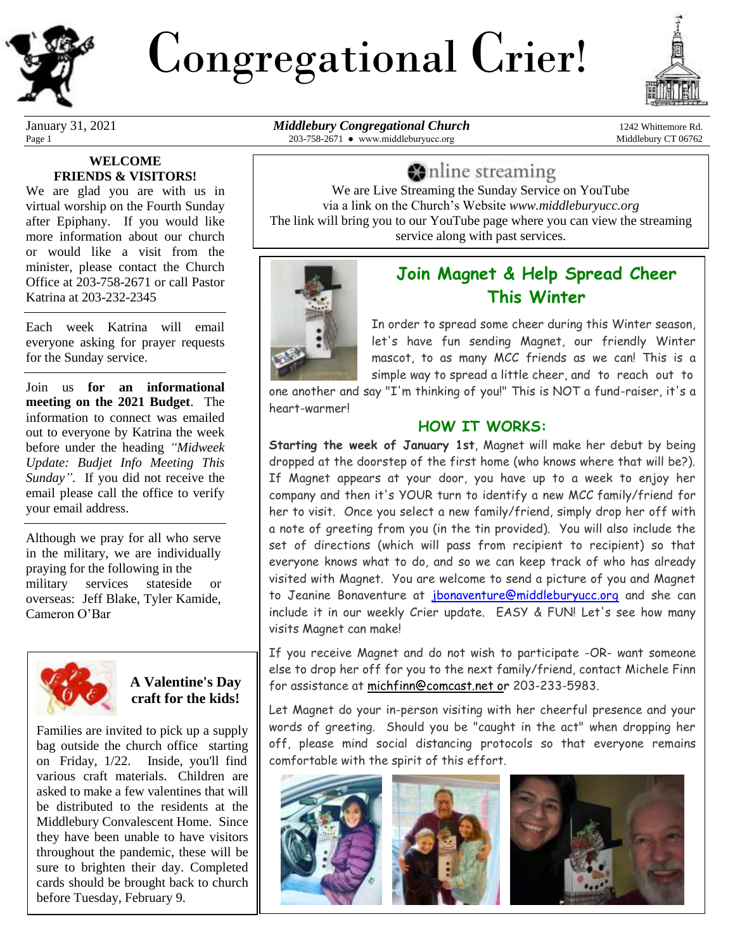

# Congregational Crier!



#### **WELCOME FRIENDS & VISITORS!**

We are glad you are with us in virtual worship on the Fourth Sunday after Epiphany. If you would like more information about our church or would like a visit from the minister, please contact the Church Office at 203-758-2671 or call Pastor Katrina at 203-232-2345

Each week Katrina will email everyone asking for prayer requests for the Sunday service.

Join us **for an informational meeting on the 2021 Budget**. The information to connect was emailed out to everyone by Katrina the week before under the heading *"Midweek Update: Budjet Info Meeting This Sunday"*. If you did not receive the email please call the office to verify your email address.

Although we pray for all who serve in the military, we are individually praying for the following in the military services stateside or overseas: Jeff Blake, Tyler Kamide, Cameron O'Bar



### **A Valentine's Day craft for the kids!**

Families are invited to pick up a supply bag outside the church office starting on Friday, 1/22. Inside, you'll find various craft materials. Children are asked to make a few valentines that will be distributed to the residents at the Middlebury Convalescent Home. Since they have been unable to have visitors throughout the pandemic, these will be sure to brighten their day. Completed cards should be brought back to church before Tuesday, February 9.

January 31, 2021 *Middlebury Congregational Church* 1242 Whittemore Rd. Page 1 203-758-2671 • www.middleburyucc.org Middlebury CT 06762

inde streaming

We are Live Streaming the Sunday Service on YouTube via a link on the Church's Website *www.middleburyucc.org* The link will bring you to our YouTube page where you can view the streaming service along with past services.



## **Join Magnet & Help Spread Cheer This Winter**

In order to spread some cheer during this Winter season, let's have fun sending Magnet, our friendly Winter mascot, to as many MCC friends as we can! This is a simple way to spread a little cheer, and to reach out to

one another and say "I'm thinking of you!" This is NOT a fund-raiser, it's a heart-warmer!

#### **HOW IT WORKS:**

**Starting the week of January 1st**, Magnet will make her debut by being dropped at the doorstep of the first home (who knows where that will be?). If Magnet appears at your door, you have up to a week to enjoy her company and then it's YOUR turn to identify a new MCC family/friend for her to visit. Once you select a new family/friend, simply drop her off with a note of greeting from you (in the tin provided). You will also include the set of directions (which will pass from recipient to recipient) so that everyone knows what to do, and so we can keep track of who has already visited with Magnet. You are welcome to send a picture of you and Magnet to Jeanine Bonaventure at [jbonaventure@middleburyucc.org](mailto:jbonaventure@middleburyucc.org) and she can include it in our weekly Crier update. EASY & FUN! Let's see how many visits Magnet can make!

If you receive Magnet and do not wish to participate -OR- want someone else to drop her off for you to the next family/friend, contact Michele Finn for assistance at [michfinn@comcast.net or](mailto:michfinn@comcast.net) 203-233-5983.

Let Magnet do your in-person visiting with her cheerful presence and your words of greeting. Should you be "caught in the act" when dropping her off, please mind social distancing protocols so that everyone remains comfortable with the spirit of this effort.